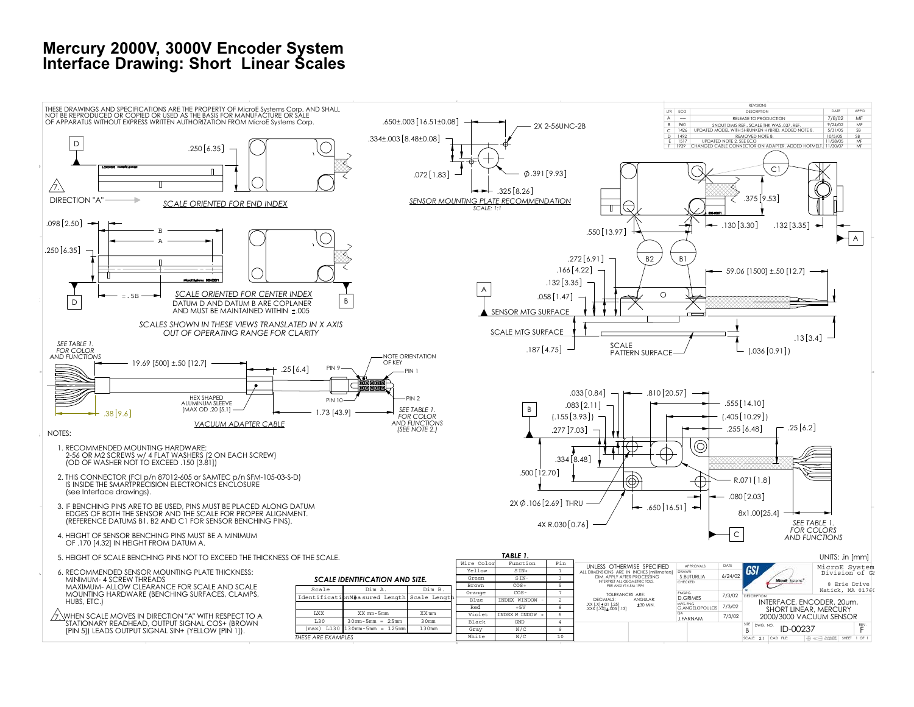## **Mercury 2000V, 3000V Encoder System Interface Drawing: Short Linear Scales**

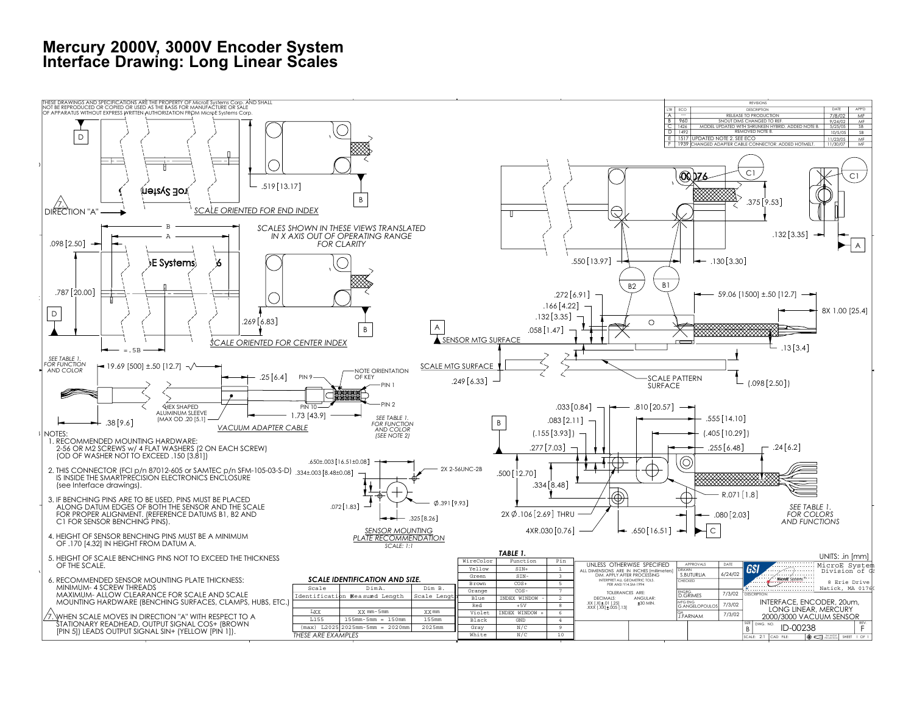## **Mercury 2000V, 3000V Encoder System Interface Drawing: Long Linear Scales**

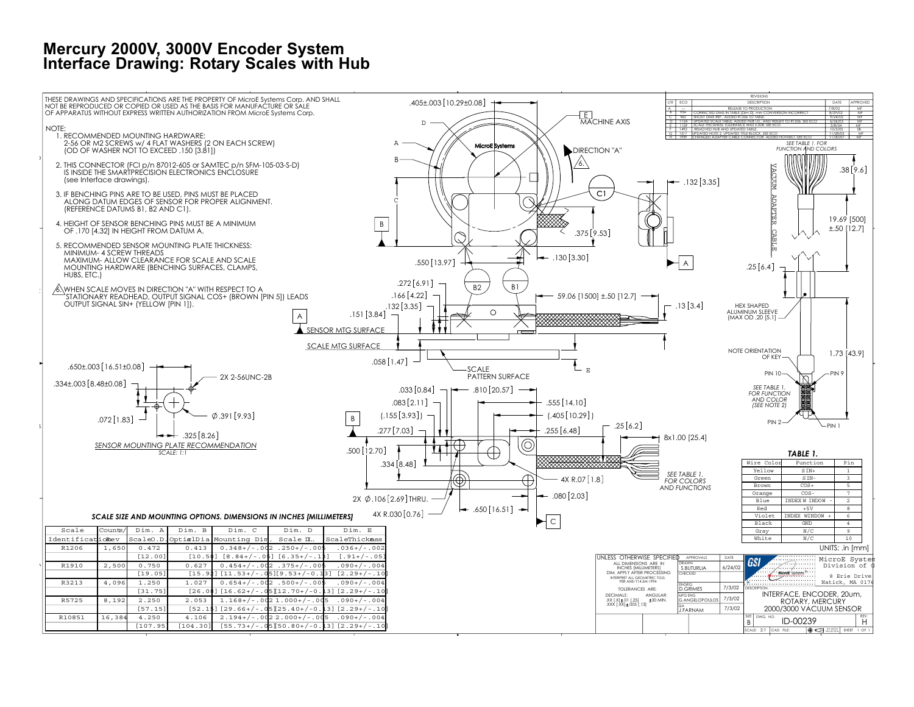## **Mercury 2000V, 3000V Encoder System Interface Drawing: Rotary Scales with Hub**